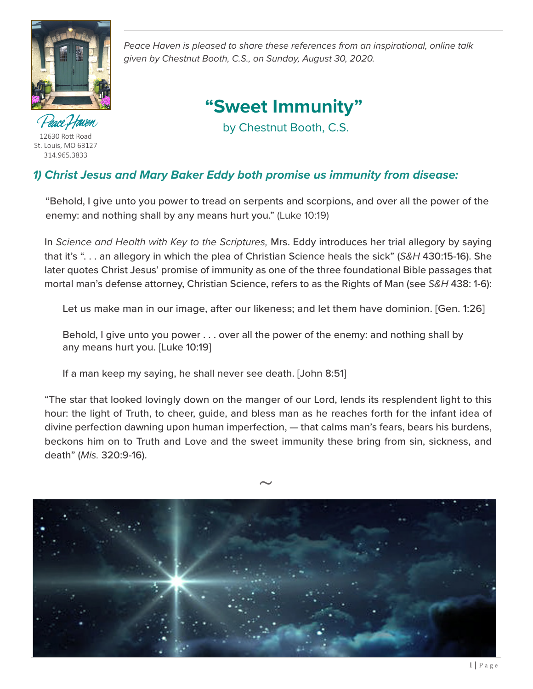

ce Ffaven 12630 Rott Road St. Louis, MO 63127 314.965.3833

*Peace Haven is pleased to share these references from an inspirational, online talk given by Chestnut Booth, C.S., on Sunday, August 30, 2020.* 

# **"Sweet Immunity"**

by Chestnut Booth, C.S.

# *1) Christ Jesus and Mary Baker Eddy both promise us immunity from disease:*

 "Behold, I give unto you power to tread on serpents and scorpions, and over all the power of the enemy: and nothing shall by any means hurt you." (Luke 10:19)

 In *Science and Health with Key to the Scriptures,* Mrs. Eddy introduces her trial allegory by saying that it's ". . . an allegory in which the plea of Christian Science heals the sick" (*S&H* 430:15-16). She later quotes Christ Jesus' promise of immunity as one of the three foundational Bible passages that mortal man's defense attorney, Christian Science, refers to as the Rights of Man (see *S&H* 438: 1-6):

Let us make man in our image, after our likeness; and let them have dominion. [Gen. 1:26]

Behold, I give unto you power . . . over all the power of the enemy: and nothing shall by any means hurt you. [Luke 10:19]

If a man keep my saying, he shall never see death. [John 8:51]

 "The star that looked lovingly down on the manger of our Lord, lends its resplendent light to this hour: the light of Truth, to cheer, guide, and bless man as he reaches forth for the infant idea of divine perfection dawning upon human imperfection, — that calms man's fears, bears his burdens, beckons him on to Truth and Love and the sweet immunity these bring from sin, sickness, and death" (*Mis.* 320:9-16).

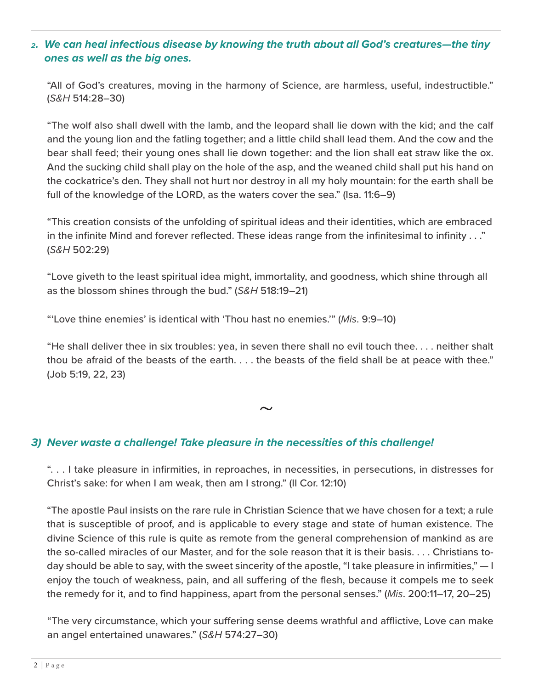#### *2. We can heal infectious disease by knowing the truth about all God's creatures—the tiny ones as well as the big ones.*

 "All of God's creatures, moving in the harmony of Science, are harmless, useful, indestructible." (*S&H* 514:28–30)

 "The wolf also shall dwell with the lamb, and the leopard shall lie down with the kid; and the calf and the young lion and the fatling together; and a little child shall lead them. And the cow and the bear shall feed; their young ones shall lie down together: and the lion shall eat straw like the ox. And the sucking child shall play on the hole of the asp, and the weaned child shall put his hand on the cockatrice's den. They shall not hurt nor destroy in all my holy mountain: for the earth shall be full of the knowledge of the LORD, as the waters cover the sea." (Isa. 11:6–9)

 "This creation consists of the unfolding of spiritual ideas and their identities, which are embraced in the infinite Mind and forever reflected. These ideas range from the infinitesimal to infinity . . ." (*S&H* 502:29)

 "Love giveth to the least spiritual idea might, immortality, and goodness, which shine through all as the blossom shines through the bud." (*S&H* 518:19–21)

"'Love thine enemies' is identical with 'Thou hast no enemies.'" (*Mis*. 9:9–10)

 "He shall deliver thee in six troubles: yea, in seven there shall no evil touch thee. . . . neither shalt thou be afraid of the beasts of the earth. . . . the beasts of the field shall be at peace with thee." (Job 5:19, 22, 23)

 $\sim$ 

#### *3) Never waste a challenge! Take pleasure in the necessities of this challenge!*

 ". . . I take pleasure in infirmities, in reproaches, in necessities, in persecutions, in distresses for Christ's sake: for when I am weak, then am I strong." (II Cor. 12:10)

"The apostle Paul insists on the rare rule in Christian Science that we have chosen for a text; a rule that is susceptible of proof, and is applicable to every stage and state of human existence. The divine Science of this rule is quite as remote from the general comprehension of mankind as are the so-called miracles of our Master, and for the sole reason that it is their basis. . . . Christians today should be able to say, with the sweet sincerity of the apostle, "I take pleasure in infirmities,"  $-1$ enjoy the touch of weakness, pain, and all suffering of the flesh, because it compels me to seek the remedy for it, and to find happiness, apart from the personal senses." (*Mis*. 200:11–17, 20–25)

"The very circumstance, which your suffering sense deems wrathful and afflictive, Love can make an angel entertained unawares." (*S&H* 574:27–30)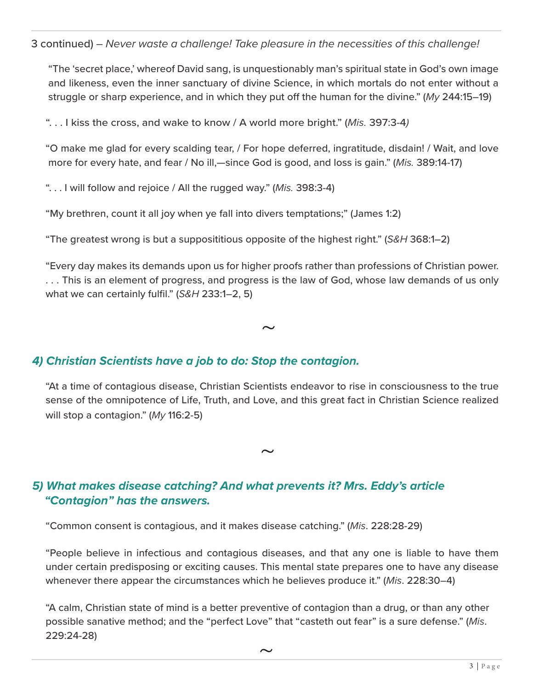3 continued) *– Never waste a challenge! Take pleasure in the necessities of this challenge!*

"The 'secret place,' whereof David sang, is unquestionably man's spiritual state in God's own image and likeness, even the inner sanctuary of divine Science, in which mortals do not enter without a struggle or sharp experience, and in which they put off the human for the divine." (*My* 244:15–19)

". . . I kiss the cross, and wake to know / A world more bright." (*Mis.* 397:3-4*)*

"O make me glad for every scalding tear, / For hope deferred, ingratitude, disdain! / Wait, and love more for every hate, and fear / No ill,—since God is good, and loss is gain." (*Mis.* 389:14-17)

". . . I will follow and rejoice / All the rugged way." (*Mis.* 398:3-4)

"My brethren, count it all joy when ye fall into divers temptations;" (James 1:2)

"The greatest wrong is but a supposititious opposite of the highest right." (*S&H* 368:1–2)

"Every day makes its demands upon us for higher proofs rather than professions of Christian power. . . . This is an element of progress, and progress is the law of God, whose law demands of us only what we can certainly fulfil." (*S&H* 233:1–2, 5)

 $\sim$ 

## *4) Christian Scientists have a job to do: Stop the contagion.*

"At a time of contagious disease, Christian Scientists endeavor to rise in consciousness to the true sense of the omnipotence of Life, Truth, and Love, and this great fact in Christian Science realized will stop a contagion." (*My* 116:2-5)

 $\sim$ 

# *5) What makes disease catching? And what prevents it? Mrs. Eddy's article "Contagion" has the answers.*

"Common consent is contagious, and it makes disease catching." (*Mis*. 228:28-29)

"People believe in infectious and contagious diseases, and that any one is liable to have them under certain predisposing or exciting causes. This mental state prepares one to have any disease whenever there appear the circumstances which he believes produce it." (*Mis*. 228:30–4)

"A calm, Christian state of mind is a better preventive of contagion than a drug, or than any other possible sanative method; and the "perfect Love" that "casteth out fear" is a sure defense." (*Mis*. 229:24-28)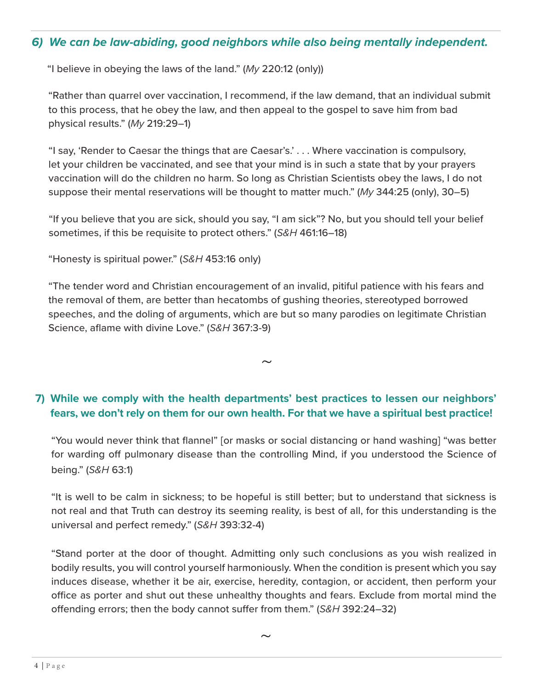#### *6) We can be law-abiding, good neighbors while also being mentally independent.*

"I believe in obeying the laws of the land." (*My* 220:12 (only))

 "Rather than quarrel over vaccination, I recommend, if the law demand, that an individual submit to this process, that he obey the law, and then appeal to the gospel to save him from bad physical results." (*My* 219:29–1)

 "I say, 'Render to Caesar the things that are Caesar's.' . . . Where vaccination is compulsory, let your children be vaccinated, and see that your mind is in such a state that by your prayers vaccination will do the children no harm. So long as Christian Scientists obey the laws, I do not suppose their mental reservations will be thought to matter much." (*My* 344:25 (only), 30–5)

 "If you believe that you are sick, should you say, "I am sick"? No, but you should tell your belief sometimes, if this be requisite to protect others." (*S&H* 461:16–18)

"Honesty is spiritual power." (*S&H* 453:16 only)

 "The tender word and Christian encouragement of an invalid, pitiful patience with his fears and the removal of them, are better than hecatombs of gushing theories, stereotyped borrowed speeches, and the doling of arguments, which are but so many parodies on legitimate Christian Science, aflame with divine Love." (*S&H* 367:3-9)

## **7) While we comply with the health departments' best practices to lessen our neighbors' fears, we don't rely on them for our own health. For that we have a spiritual best practice!**

 $\sim$ 

 "You would never think that flannel" [or masks or social distancing or hand washing] "was better for warding off pulmonary disease than the controlling Mind, if you understood the Science of being." (*S&H* 63:1)

 "It is well to be calm in sickness; to be hopeful is still better; but to understand that sickness is not real and that Truth can destroy its seeming reality, is best of all, for this understanding is the universal and perfect remedy." (*S&H* 393:32-4)

 "Stand porter at the door of thought. Admitting only such conclusions as you wish realized in bodily results, you will control yourself harmoniously. When the condition is present which you say induces disease, whether it be air, exercise, heredity, contagion, or accident, then perform your office as porter and shut out these unhealthy thoughts and fears. Exclude from mortal mind the offending errors; then the body cannot suffer from them." (*S&H* 392:24–32)